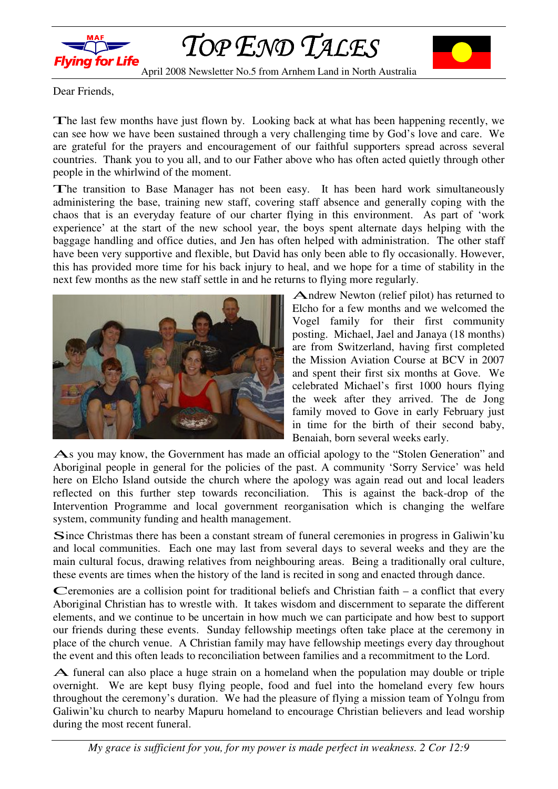

TOP END TALES



April 2008 Newsletter No.5 from Arnhem Land in North Australia

Dear Friends,

The last few months have just flown by. Looking back at what has been happening recently, we can see how we have been sustained through a very challenging time by God's love and care. We are grateful for the prayers and encouragement of our faithful supporters spread across several countries. Thank you to you all, and to our Father above who has often acted quietly through other people in the whirlwind of the moment.

The transition to Base Manager has not been easy. It has been hard work simultaneously administering the base, training new staff, covering staff absence and generally coping with the chaos that is an everyday feature of our charter flying in this environment. As part of 'work experience' at the start of the new school year, the boys spent alternate days helping with the baggage handling and office duties, and Jen has often helped with administration. The other staff have been very supportive and flexible, but David has only been able to fly occasionally. However, this has provided more time for his back injury to heal, and we hope for a time of stability in the next few months as the new staff settle in and he returns to flying more regularly.



Andrew Newton (relief pilot) has returned to Elcho for a few months and we welcomed the Vogel family for their first community posting. Michael, Jael and Janaya (18 months) are from Switzerland, having first completed the Mission Aviation Course at BCV in 2007 and spent their first six months at Gove. We celebrated Michael's first 1000 hours flying the week after they arrived. The de Jong family moved to Gove in early February just in time for the birth of their second baby, Benaiah, born several weeks early.

As you may know, the Government has made an official apology to the "Stolen Generation" and Aboriginal people in general for the policies of the past. A community 'Sorry Service' was held here on Elcho Island outside the church where the apology was again read out and local leaders reflected on this further step towards reconciliation. This is against the back-drop of the Intervention Programme and local government reorganisation which is changing the welfare system, community funding and health management.

Since Christmas there has been a constant stream of funeral ceremonies in progress in Galiwin'ku and local communities. Each one may last from several days to several weeks and they are the main cultural focus, drawing relatives from neighbouring areas. Being a traditionally oral culture, these events are times when the history of the land is recited in song and enacted through dance.

Ceremonies are a collision point for traditional beliefs and Christian faith – a conflict that every Aboriginal Christian has to wrestle with. It takes wisdom and discernment to separate the different elements, and we continue to be uncertain in how much we can participate and how best to support our friends during these events. Sunday fellowship meetings often take place at the ceremony in place of the church venue. A Christian family may have fellowship meetings every day throughout the event and this often leads to reconciliation between families and a recommitment to the Lord.

A funeral can also place a huge strain on a homeland when the population may double or triple overnight. We are kept busy flying people, food and fuel into the homeland every few hours throughout the ceremony's duration. We had the pleasure of flying a mission team of Yolngu from Galiwin'ku church to nearby Mapuru homeland to encourage Christian believers and lead worship during the most recent funeral.